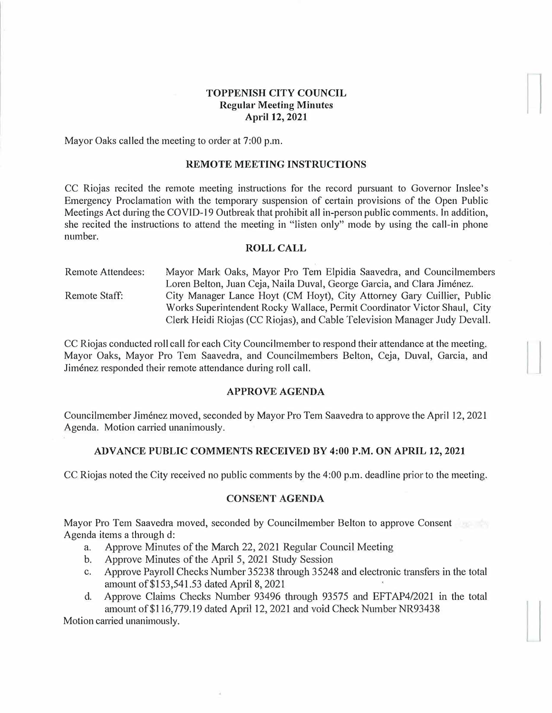# **TOPPENISH CITY COUNCIL Regular Meeting Minutes April 12, 2021**

Mayor Oaks called the meeting to order at 7:00 p.m.

## **REMOTE MEETING INSTRUCTIONS**

CC Riojas recited the remote meeting instructions for the record pursuant to Governor Inslee's Emergency Proclamation with the temporary suspension of certain provisions of the Open Public Meetings Act during the COVID-19 Outbreak that prohibit all in-person public comments. In addition, she recited the instructions to attend the meeting in "listen only" mode by using the call-in phone number.

## **ROLL CALL**

Remote Attendees: Remote Staff: Mayor Mark Oaks, Mayor Pro Tern Elpidia Saavedra, and Councilmembers Loren Belton, Juan Ceja, Naila Duval, George Garcia, and Clara Jiménez. City Manager Lance Hoyt (CM Hoyt), City Attorney Gary Cuillier, Public Works Superintendent Rocky Wallace, Permit Coordinator Victor Shaul, City Clerk Heidi Riojas (CC Riojas), and Cable Television Manager Judy Devall.

CC Riojas conducted roll call for each City Councilmember to respond their attendance at the meeting. Mayor Oaks, Mayor Pro Tem Saavedra, and Councilmembers Belton, Ceja, Duval, Garcia, and Jimenez responded their remote attendance during roll call.

## **APPROVE AGENDA**

Councilmember Jimenez moved, seconded by Mayor Pro Tern Saavedra to approve the April 12, 2021 Agenda. Motion carried unanimously.

## **ADVANCE PUBLIC COMMENTS RECEIVED BY 4:00 P.M. ON APRIL 12, 2021**

CC Riojas noted the City received no public comments by the 4:00 p.m. deadline prior to the meeting.

### **CONSENT AGENDA**

Mayor Pro Tern Saavedra moved, seconded by Councilmember Belton to approve Consent Agenda items a through d:

- a. Approve Minutes of the March 22, 2021 Regular Council Meeting
- b. Approve Minutes of the April 5, 2021 Study Session
- c. Approve Payroll Checks Number 35238 through 35248 and electronic transfers in the total amount of \$153,541.53 dated April 8, 2021
- d. Approve Claims Checks Number 93496 through 93575 and EFTAP4/2021 **in** the total amount of \$116,779.19 dated April 12, 2021 and void Check Number NR93438

Motion carried unanimously.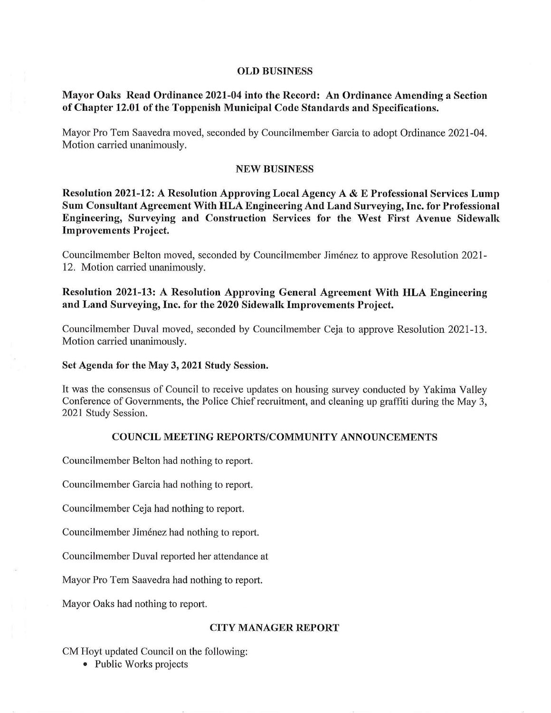### **OLD BUSINESS**

# **Mayor Oaks Read Ordinance 2021-04 into the Record: An Ordinance Amending a Section of Chapter 12.01 of the Toppenish Municipal Code Standards and Specifications.**

Mayor Pro Tern Saavedra moved, seconded by Councilmember Garcia to adopt Ordinance 2021-04. Motion carried unanimously.

## **NEW BUSINESS**

**Resolution 2021-12: A Resolution Approving Local Agency A** & **E Professional Services Lump Sum Consultant Agreement With HLA Engineering And Land Surveying, Inc. for Professional Engineering, Surveying and Construction Services for the West First Avenue Sidewalk Improvements Project.** 

Councilmember Belton moved, seconded by Councilmember Jimenez to approve Resolution 2021- 12. Motion carried unanimously.

# Resolution 2021-13: A Resolution Approving General Agreement With HLA Engineering **and Land Surveying, Inc. for the 2020 Sidewalk Improvements Project.**

Councilmember Duval moved, seconded by Councilmember Ceja to approve Resolution 2021-13. Motion carried unanimously.

### **Set Agenda for the May 3, 2021 Study Session.**

It was the consensus of Council to receive updates on housing survey conducted by Yakima Valley Conference of Governments, the Police Chief recruitment, and cleaning up graffiti during the May 3, 2021 Study Session.

## **COUNCIL MEETING REPORTS/COMMUNITY ANNOUNCEMENTS**

Councilmember Belton had nothing to report.

Councilmember Garcia had nothing to report.

Councilmember Ceja had nothing to report.

Councilmember Jiménez had nothing to report.

Councilmember Duval reported her attendance at

Mayor Pro Tem Saavedra had nothing to report.

Mayor Oaks had nothing to report.

#### **CITY MANAGER REPORT**

CM Hoyt updated Council on the following:

• Public Works projects